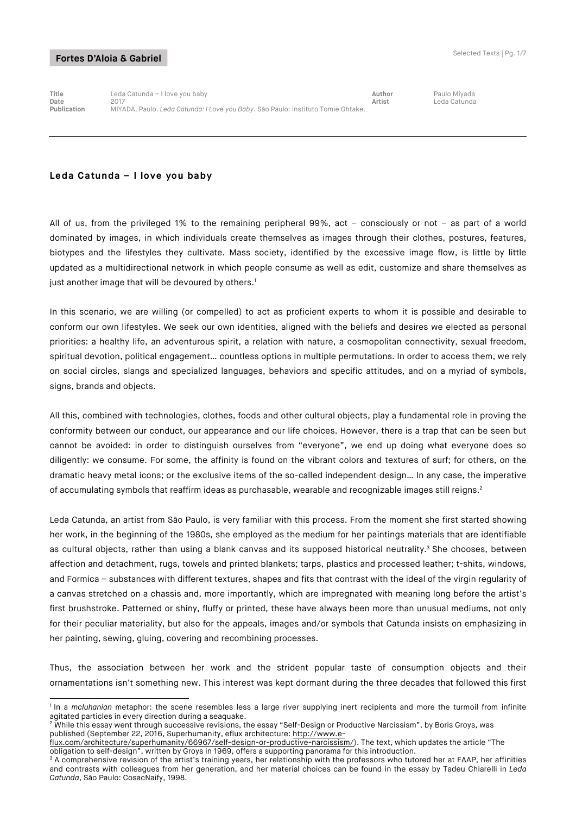**Title** Leda Catunda – I love you baby **Author** Paulo Miyada **Date** 2017 **Artist** Leda Catunda **Publication** MIYADA, Paulo. *Leda Catunda: I Love you Baby*. São Paulo: Instituto Tomie Ohtake.

# **Leda Catunda – I love you baby**

All of us, from the privileged 1% to the remaining peripheral 99%, act – consciously or not – as part of a world dominated by images, in which individuals create themselves as images through their clothes, postures, features, biotypes and the lifestyles they cultivate. Mass society, identified by the excessive image flow, is little by little updated as a multidirectional network in which people consume as well as edit, customize and share themselves as just another image that will be devoured by others.<sup>1</sup>

In this scenario, we are willing (or compelled) to act as proficient experts to whom it is possible and desirable to conform our own lifestyles. We seek our own identities, aligned with the beliefs and desires we elected as personal priorities: a healthy life, an adventurous spirit, a relation with nature, a cosmopolitan connectivity, sexual freedom, spiritual devotion, political engagement… countless options in multiple permutations. In order to access them, we rely on social circles, slangs and specialized languages, behaviors and specific attitudes, and on a myriad of symbols, signs, brands and objects.

All this, combined with technologies, clothes, foods and other cultural objects, play a fundamental role in proving the conformity between our conduct, our appearance and our life choices. However, there is a trap that can be seen but cannot be avoided: in order to distinguish ourselves from "everyone", we end up doing what everyone does so diligently: we consume. For some, the affinity is found on the vibrant colors and textures of surf; for others, on the dramatic heavy metal icons; or the exclusive items of the so-called independent design… In any case, the imperative of accumulating symbols that reaffirm ideas as purchasable, wearable and recognizable images still reigns.<sup>2</sup>

Leda Catunda, an artist from São Paulo, is very familiar with this process. From the moment she first started showing her work, in the beginning of the 1980s, she employed as the medium for her paintings materials that are identifiable as cultural objects, rather than using a blank canvas and its supposed historical neutrality.<sup>3</sup> She chooses, between affection and detachment, rugs, towels and printed blankets; tarps, plastics and processed leather; t-shits, windows, and Formica – substances with different textures, shapes and fits that contrast with the ideal of the virgin regularity of a canvas stretched on a chassis and, more importantly, which are impregnated with meaning long before the artist's first brushstroke. Patterned or shiny, fluffy or printed, these have always been more than unusual mediums, not only for their peculiar materiality, but also for the appeals, images and/or symbols that Catunda insists on emphasizing in her painting, sewing, gluing, covering and recombining processes.

Thus, the association between her work and the strident popular taste of consumption objects and their ornamentations isn't something new. This interest was kept dormant during the three decades that followed this first

<sup>-</sup><sup>1</sup> In a *mcluhanian* metaphor: the scene resembles less a large river supplying inert recipients and more the turmoil from infinite agitated particles in every direction during a seaquake.

 $^2$  While this essay went through successive revisions, the essay "Self-Design or Productive Narcissism", by Boris Groys, was published (September 22, 2016, Superhumanity, eflux architecture: http://www.e-

flux.com/architecture/superhumanity/66967/self-design-or-productive-narcissism/). The text, which updates the article "The obligation to self-design", written by Groys in 1969, offers a supporting panorama for this introduction.

 $3$  A comprehensive revision of the artist's training years, her relationship with the professors who tutored her at FAAP, her affinities and contrasts with colleagues from her generation, and her material choices can be found in the essay by Tadeu Chiarelli in *Leda Catunda*, São Paulo: CosacNaify, 1998.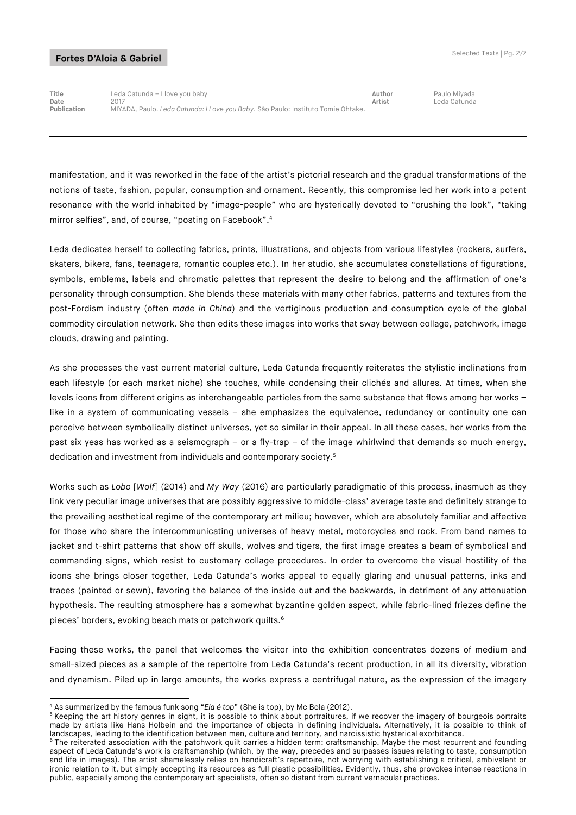**Title** Leda Catunda – I love you baby **Author** Paulo Miyada **Date** 2017 **Artist** Leda Catunda **Publication** MIYADA, Paulo. *Leda Catunda: I Love you Baby*. São Paulo: Instituto Tomie Ohtake.

manifestation, and it was reworked in the face of the artist's pictorial research and the gradual transformations of the notions of taste, fashion, popular, consumption and ornament. Recently, this compromise led her work into a potent resonance with the world inhabited by "image-people" who are hysterically devoted to "crushing the look", "taking mirror selfies", and, of course, "posting on Facebook".4

Leda dedicates herself to collecting fabrics, prints, illustrations, and objects from various lifestyles (rockers, surfers, skaters, bikers, fans, teenagers, romantic couples etc.). In her studio, she accumulates constellations of figurations, symbols, emblems, labels and chromatic palettes that represent the desire to belong and the affirmation of one's personality through consumption. She blends these materials with many other fabrics, patterns and textures from the post-Fordism industry (often *made in China*) and the vertiginous production and consumption cycle of the global commodity circulation network. She then edits these images into works that sway between collage, patchwork, image clouds, drawing and painting.

As she processes the vast current material culture, Leda Catunda frequently reiterates the stylistic inclinations from each lifestyle (or each market niche) she touches, while condensing their clichés and allures. At times, when she levels icons from different origins as interchangeable particles from the same substance that flows among her works – like in a system of communicating vessels – she emphasizes the equivalence, redundancy or continuity one can perceive between symbolically distinct universes, yet so similar in their appeal. In all these cases, her works from the past six yeas has worked as a seismograph – or a fly-trap – of the image whirlwind that demands so much energy, dedication and investment from individuals and contemporary society.<sup>5</sup>

Works such as *Lobo* [*Wolf*] (2014) and *My Way* (2016) are particularly paradigmatic of this process, inasmuch as they link very peculiar image universes that are possibly aggressive to middle-class' average taste and definitely strange to the prevailing aesthetical regime of the contemporary art milieu; however, which are absolutely familiar and affective for those who share the intercommunicating universes of heavy metal, motorcycles and rock. From band names to jacket and t-shirt patterns that show off skulls, wolves and tigers, the first image creates a beam of symbolical and commanding signs, which resist to customary collage procedures. In order to overcome the visual hostility of the icons she brings closer together, Leda Catunda's works appeal to equally glaring and unusual patterns, inks and traces (painted or sewn), favoring the balance of the inside out and the backwards, in detriment of any attenuation hypothesis. The resulting atmosphere has a somewhat byzantine golden aspect, while fabric-lined friezes define the pieces' borders, evoking beach mats or patchwork quilts. 6

Facing these works, the panel that welcomes the visitor into the exhibition concentrates dozens of medium and small-sized pieces as a sample of the repertoire from Leda Catunda's recent production, in all its diversity, vibration and dynamism. Piled up in large amounts, the works express a centrifugal nature, as the expression of the imagery

<sup>-</sup><sup>4</sup> As summarized by the famous funk song "*Ela é top*" (She is top), by Mc Bola (2012).

<sup>5</sup> Keeping the art history genres in sight, it is possible to think about portraitures, if we recover the imagery of bourgeois portraits made by artists like Hans Holbein and the importance of objects in defining individuals. Alternatively, it is possible to think of landscapes, leading to the identification between men, culture and territory, and narcissistic hysterical exorbitance.

<sup>&</sup>lt;sup>6</sup> The reiterated association with the patchwork quilt carries a hidden term: craftsmanship. Maybe the most recurrent and founding aspect of Leda Catunda's work is craftsmanship (which, by the way, precedes and surpasses issues relating to taste, consumption and life in images). The artist shamelessly relies on handicraft's repertoire, not worrying with establishing a critical, ambivalent or ironic relation to it, but simply accepting its resources as full plastic possibilities. Evidently, thus, she provokes intense reactions in public, especially among the contemporary art specialists, often so distant from current vernacular practices.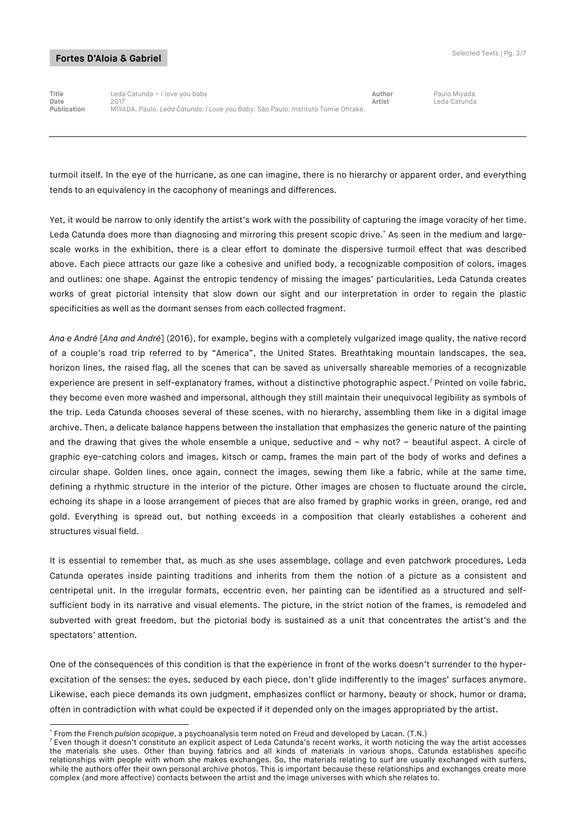-

**Title** Leda Catunda – I love you baby **Author** Paulo Miyada **Date** 2017 **Artist** Leda Catunda **Publication** MIYADA, Paulo. *Leda Catunda: I Love you Baby*. São Paulo: Instituto Tomie Ohtake.

turmoil itself. In the eye of the hurricane, as one can imagine, there is no hierarchy or apparent order, and everything tends to an equivalency in the cacophony of meanings and differences.

Yet, it would be narrow to only identify the artist's work with the possibility of capturing the image voracity of her time. Leda Catunda does more than diagnosing and mirroring this present scopic drive.\* As seen in the medium and largescale works in the exhibition, there is a clear effort to dominate the dispersive turmoil effect that was described above. Each piece attracts our gaze like a cohesive and unified body, a recognizable composition of colors, images and outlines: one shape. Against the entropic tendency of missing the images' particularities, Leda Catunda creates works of great pictorial intensity that slow down our sight and our interpretation in order to regain the plastic specificities as well as the dormant senses from each collected fragment.

*Ana e André* [*Ana and André*] (2016), for example, begins with a completely vulgarized image quality, the native record of a couple's road trip referred to by "America", the United States. Breathtaking mountain landscapes, the sea, horizon lines, the raised flag, all the scenes that can be saved as universally shareable memories of a recognizable experience are present in self-explanatory frames, without a distinctive photographic aspect. <sup>7</sup> Printed on voile fabric, they become even more washed and impersonal, although they still maintain their unequivocal legibility as symbols of the trip. Leda Catunda chooses several of these scenes, with no hierarchy, assembling them like in a digital image archive. Then, a delicate balance happens between the installation that emphasizes the generic nature of the painting and the drawing that gives the whole ensemble a unique, seductive and – why not? – beautiful aspect. A circle of graphic eye-catching colors and images, kitsch or camp, frames the main part of the body of works and defines a circular shape. Golden lines, once again, connect the images, sewing them like a fabric, while at the same time, defining a rhythmic structure in the interior of the picture. Other images are chosen to fluctuate around the circle, echoing its shape in a loose arrangement of pieces that are also framed by graphic works in green, orange, red and gold. Everything is spread out, but nothing exceeds in a composition that clearly establishes a coherent and structures visual field.

It is essential to remember that, as much as she uses assemblage, collage and even patchwork procedures, Leda Catunda operates inside painting traditions and inherits from them the notion of a picture as a consistent and centripetal unit. In the irregular formats, eccentric even, her painting can be identified as a structured and selfsufficient body in its narrative and visual elements. The picture, in the strict notion of the frames, is remodeled and subverted with great freedom, but the pictorial body is sustained as a unit that concentrates the artist's and the spectators' attention.

One of the consequences of this condition is that the experience in front of the works doesn't surrender to the hyperexcitation of the senses: the eyes, seduced by each piece, don't glide indifferently to the images' surfaces anymore. Likewise, each piece demands its own judgment, emphasizes conflict or harmony, beauty or shock, humor or drama, often in contradiction with what could be expected if it depended only on the images appropriated by the artist.

<sup>\*</sup> From the French *pulsion scopique*, a psychoanalysis term noted on Freud and developed by Lacan. (T.N.)

 $<sup>7</sup>$  Even though it doesn't constitute an explicit aspect of Leda Catunda's recent works, it worth noticing the way the artist accesses</sup> the materials she uses. Other than buying fabrics and all kinds of materials in various shops, Catunda establishes specific relationships with people with whom she makes exchanges. So, the materials relating to surf are usually exchanged with surfers, while the authors offer their own personal archive photos. This is important because these relationships and exchanges create more complex (and more affective) contacts between the artist and the image universes with which she relates to.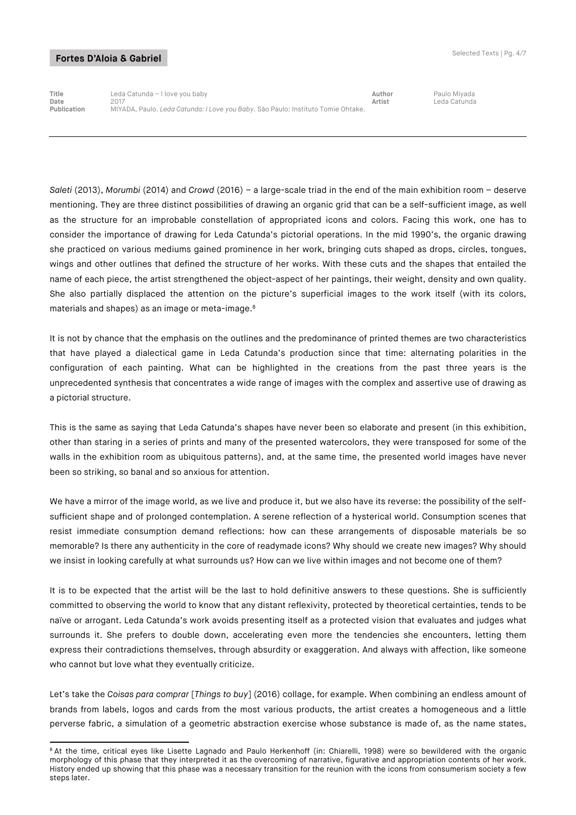-

**Title** Leda Catunda – I love you baby **Author** Paulo Miyada **Date** 2017 **Artist** Leda Catunda **Publication** MIYADA, Paulo. *Leda Catunda: I Love you Baby*. São Paulo: Instituto Tomie Ohtake.

*Saleti* (2013), *Morumbi* (2014) and *Crowd* (2016) – a large-scale triad in the end of the main exhibition room – deserve mentioning. They are three distinct possibilities of drawing an organic grid that can be a self-sufficient image, as well as the structure for an improbable constellation of appropriated icons and colors. Facing this work, one has to consider the importance of drawing for Leda Catunda's pictorial operations. In the mid 1990's, the organic drawing she practiced on various mediums gained prominence in her work, bringing cuts shaped as drops, circles, tongues, wings and other outlines that defined the structure of her works. With these cuts and the shapes that entailed the name of each piece, the artist strengthened the object-aspect of her paintings, their weight, density and own quality. She also partially displaced the attention on the picture's superficial images to the work itself (with its colors, materials and shapes) as an image or meta-image.<sup>8</sup>

It is not by chance that the emphasis on the outlines and the predominance of printed themes are two characteristics that have played a dialectical game in Leda Catunda's production since that time: alternating polarities in the configuration of each painting. What can be highlighted in the creations from the past three years is the unprecedented synthesis that concentrates a wide range of images with the complex and assertive use of drawing as a pictorial structure.

This is the same as saying that Leda Catunda's shapes have never been so elaborate and present (in this exhibition, other than staring in a series of prints and many of the presented watercolors, they were transposed for some of the walls in the exhibition room as ubiquitous patterns), and, at the same time, the presented world images have never been so striking, so banal and so anxious for attention.

We have a mirror of the image world, as we live and produce it, but we also have its reverse: the possibility of the selfsufficient shape and of prolonged contemplation. A serene reflection of a hysterical world. Consumption scenes that resist immediate consumption demand reflections: how can these arrangements of disposable materials be so memorable? Is there any authenticity in the core of readymade icons? Why should we create new images? Why should we insist in looking carefully at what surrounds us? How can we live within images and not become one of them?

It is to be expected that the artist will be the last to hold definitive answers to these questions. She is sufficiently committed to observing the world to know that any distant reflexivity, protected by theoretical certainties, tends to be naïve or arrogant. Leda Catunda's work avoids presenting itself as a protected vision that evaluates and judges what surrounds it. She prefers to double down, accelerating even more the tendencies she encounters, letting them express their contradictions themselves, through absurdity or exaggeration. And always with affection, like someone who cannot but love what they eventually criticize.

Let's take the *Coisas para comprar* [*Things to buy*] (2016) collage, for example. When combining an endless amount of brands from labels, logos and cards from the most various products, the artist creates a homogeneous and a little perverse fabric, a simulation of a geometric abstraction exercise whose substance is made of, as the name states,

<sup>&</sup>lt;sup>8</sup> At the time, critical eyes like Lisette Lagnado and Paulo Herkenhoff (in: Chiarelli, 1998) were so bewildered with the organic morphology of this phase that they interpreted it as the overcoming of narrative, figurative and appropriation contents of her work. History ended up showing that this phase was a necessary transition for the reunion with the icons from consumerism society a few steps later.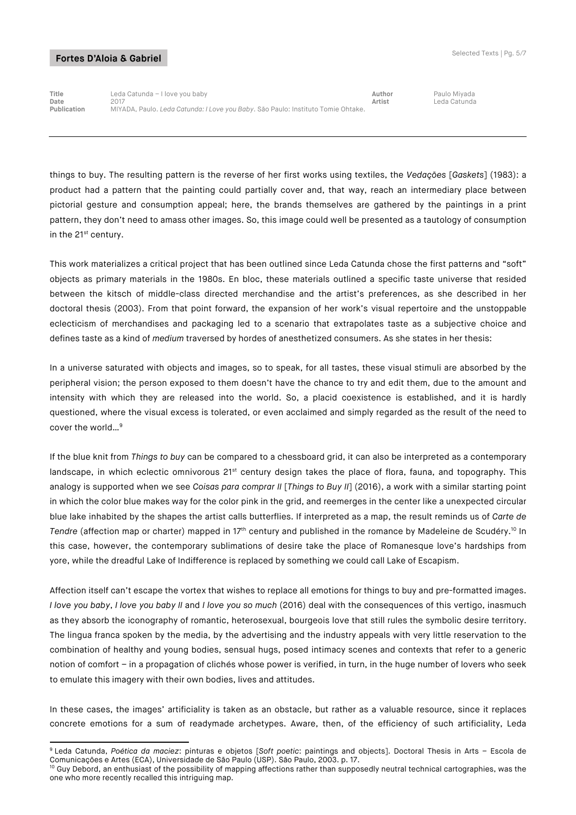**Title** Leda Catunda – I love you baby **Author** Paulo Miyada **Date** 2017 **Artist** Leda Catunda **Publication** MIYADA, Paulo. *Leda Catunda: I Love you Baby*. São Paulo: Instituto Tomie Ohtake.

things to buy. The resulting pattern is the reverse of her first works using textiles, the *Vedações* [*Gaskets*] (1983): a product had a pattern that the painting could partially cover and, that way, reach an intermediary place between pictorial gesture and consumption appeal; here, the brands themselves are gathered by the paintings in a print pattern, they don't need to amass other images. So, this image could well be presented as a tautology of consumption in the 21<sup>st</sup> century.

This work materializes a critical project that has been outlined since Leda Catunda chose the first patterns and "soft" objects as primary materials in the 1980s. En bloc, these materials outlined a specific taste universe that resided between the kitsch of middle-class directed merchandise and the artist's preferences, as she described in her doctoral thesis (2003). From that point forward, the expansion of her work's visual repertoire and the unstoppable eclecticism of merchandises and packaging led to a scenario that extrapolates taste as a subjective choice and defines taste as a kind of *medium* traversed by hordes of anesthetized consumers. As she states in her thesis:

In a universe saturated with objects and images, so to speak, for all tastes, these visual stimuli are absorbed by the peripheral vision; the person exposed to them doesn't have the chance to try and edit them, due to the amount and intensity with which they are released into the world. So, a placid coexistence is established, and it is hardly questioned, where the visual excess is tolerated, or even acclaimed and simply regarded as the result of the need to cover the world...<sup>9</sup>

If the blue knit from *Things to buy* can be compared to a chessboard grid, it can also be interpreted as a contemporary landscape, in which eclectic omnivorous 21<sup>st</sup> century design takes the place of flora, fauna, and topography. This analogy is supported when we see *Coisas para comprar II* [*Things to Buy II*] (2016), a work with a similar starting point in which the color blue makes way for the color pink in the grid, and reemerges in the center like a unexpected circular blue lake inhabited by the shapes the artist calls butterflies. If interpreted as a map, the result reminds us of *Carte de*  Tendre (affection map or charter) mapped in 17<sup>th</sup> century and published in the romance by Madeleine de Scudéry.<sup>10</sup> In this case, however, the contemporary sublimations of desire take the place of Romanesque love's hardships from yore, while the dreadful Lake of Indifference is replaced by something we could call Lake of Escapism.

Affection itself can't escape the vortex that wishes to replace all emotions for things to buy and pre-formatted images. *I love you baby*, *I love you baby II* and *I love you so much* (2016) deal with the consequences of this vertigo, inasmuch as they absorb the iconography of romantic, heterosexual, bourgeois love that still rules the symbolic desire territory. The lingua franca spoken by the media, by the advertising and the industry appeals with very little reservation to the combination of healthy and young bodies, sensual hugs, posed intimacy scenes and contexts that refer to a generic notion of comfort – in a propagation of clichés whose power is verified, in turn, in the huge number of lovers who seek to emulate this imagery with their own bodies, lives and attitudes.

In these cases, the images' artificiality is taken as an obstacle, but rather as a valuable resource, since it replaces concrete emotions for a sum of readymade archetypes. Aware, then, of the efficiency of such artificiality, Leda

<sup>-</sup><sup>9</sup> Leda Catunda, *Poética da maciez*: pinturas e objetos [*Soft poetic*: paintings and objects]. Doctoral Thesis in Arts – Escola de Comunicações e Artes (ECA), Universidade de São Paulo (USP). São Paulo, 2003. p. 17.

<sup>&</sup>lt;sup>10</sup> Guy Debord, an enthusiast of the possibility of mapping affections rather than supposedly neutral technical cartographies, was the one who more recently recalled this intriguing map.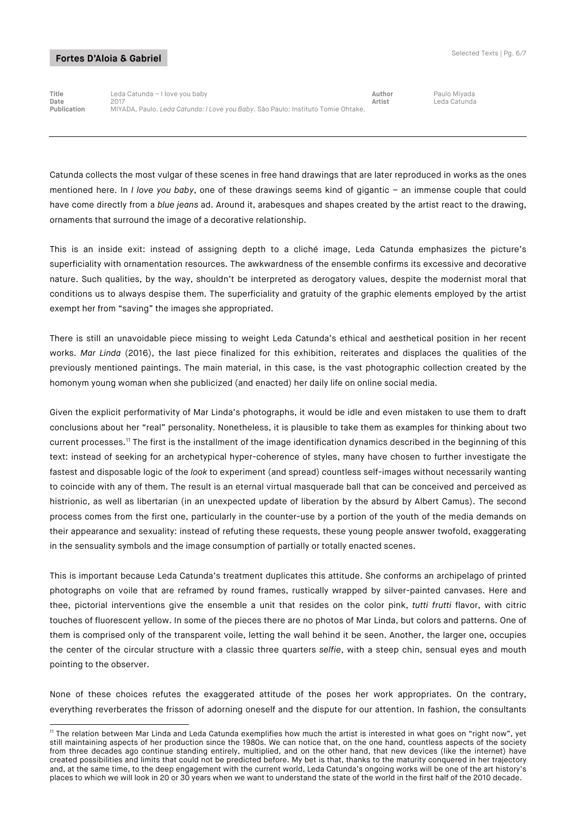-

**Title** Leda Catunda – I love you baby **Author** Paulo Miyada **Date** 2017 **Artist** Leda Catunda **Publication** MIYADA, Paulo. *Leda Catunda: I Love you Baby*. São Paulo: Instituto Tomie Ohtake.

Catunda collects the most vulgar of these scenes in free hand drawings that are later reproduced in works as the ones mentioned here. In *I love you baby*, one of these drawings seems kind of gigantic – an immense couple that could have come directly from a *blue jeans* ad. Around it, arabesques and shapes created by the artist react to the drawing, ornaments that surround the image of a decorative relationship.

This is an inside exit: instead of assigning depth to a cliché image, Leda Catunda emphasizes the picture's superficiality with ornamentation resources. The awkwardness of the ensemble confirms its excessive and decorative nature. Such qualities, by the way, shouldn't be interpreted as derogatory values, despite the modernist moral that conditions us to always despise them. The superficiality and gratuity of the graphic elements employed by the artist exempt her from "saving" the images she appropriated.

There is still an unavoidable piece missing to weight Leda Catunda's ethical and aesthetical position in her recent works. *Mar Linda* (2016), the last piece finalized for this exhibition, reiterates and displaces the qualities of the previously mentioned paintings. The main material, in this case, is the vast photographic collection created by the homonym young woman when she publicized (and enacted) her daily life on online social media.

Given the explicit performativity of Mar Linda's photographs, it would be idle and even mistaken to use them to draft conclusions about her "real" personality. Nonetheless, it is plausible to take them as examples for thinking about two current processes.11 The first is the installment of the image identification dynamics described in the beginning of this text: instead of seeking for an archetypical hyper-coherence of styles, many have chosen to further investigate the fastest and disposable logic of the *look* to experiment (and spread) countless self-images without necessarily wanting to coincide with any of them. The result is an eternal virtual masquerade ball that can be conceived and perceived as histrionic, as well as libertarian (in an unexpected update of liberation by the absurd by Albert Camus). The second process comes from the first one, particularly in the counter-use by a portion of the youth of the media demands on their appearance and sexuality: instead of refuting these requests, these young people answer twofold, exaggerating in the sensuality symbols and the image consumption of partially or totally enacted scenes.

This is important because Leda Catunda's treatment duplicates this attitude. She conforms an archipelago of printed photographs on voile that are reframed by round frames, rustically wrapped by silver-painted canvases. Here and thee, pictorial interventions give the ensemble a unit that resides on the color pink, *tutti frutti* flavor, with citric touches of fluorescent yellow. In some of the pieces there are no photos of Mar Linda, but colors and patterns. One of them is comprised only of the transparent voile, letting the wall behind it be seen. Another, the larger one, occupies the center of the circular structure with a classic three quarters *selfie*, with a steep chin, sensual eyes and mouth pointing to the observer.

None of these choices refutes the exaggerated attitude of the poses her work appropriates. On the contrary, everything reverberates the frisson of adorning oneself and the dispute for our attention. In fashion, the consultants

<sup>&</sup>lt;sup>11</sup> The relation between Mar Linda and Leda Catunda exemplifies how much the artist is interested in what goes on "right now", yet still maintaining aspects of her production since the 1980s. We can notice that, on the one hand, countless aspects of the society from three decades ago continue standing entirely, multiplied, and on the other hand, that new devices (like the internet) have created possibilities and limits that could not be predicted before. My bet is that, thanks to the maturity conquered in her trajectory and, at the same time, to the deep engagement with the current world, Leda Catunda's ongoing works will be one of the art history's places to which we will look in 20 or 30 years when we want to understand the state of the world in the first half of the 2010 decade.